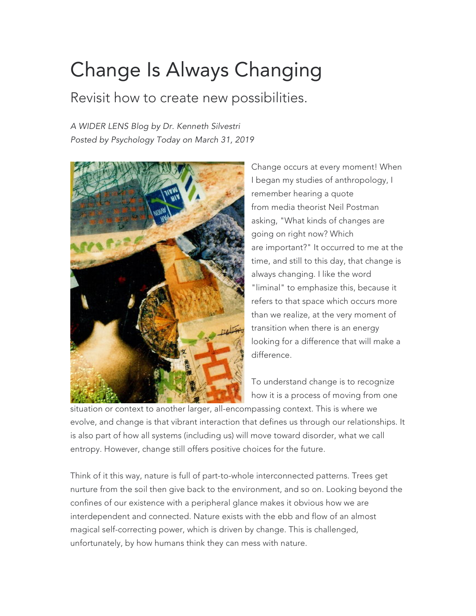## Change Is Always Changing

Revisit how to create new possibilities.

*A WIDER LENS Blog by Dr. Kenneth Silvestri Posted by Psychology Today on March 31, 2019*



Change occurs at every moment! When I began my studies of anthropology, I remember hearing a quote from media theorist Neil Postman asking, "What kinds of changes are going on right now? Which are important?" It occurred to me at the time, and still to this day, that change is always changing. I like the word "liminal" to emphasize this, because it refers to that space which occurs more than we realize, at the very moment of transition when there is an energy looking for a difference that will make a difference.

To understand change is to recognize how it is a process of moving from one

situation or context to another larger, all-encompassing context. This is where we evolve, and change is that vibrant interaction that defines us through our relationships. It is also part of how all systems (including us) will move toward disorder, what we call entropy. However, change still offers positive choices for the future.

Think of it this way, nature is full of part-to-whole interconnected patterns. Trees get nurture from the soil then give back to the environment, and so on. Looking beyond the confines of our existence with a peripheral glance makes it obvious how we are interdependent and connected. Nature exists with the ebb and flow of an almost magical self-correcting power, which is driven by change. This is challenged, unfortunately, by how humans think they can mess with nature.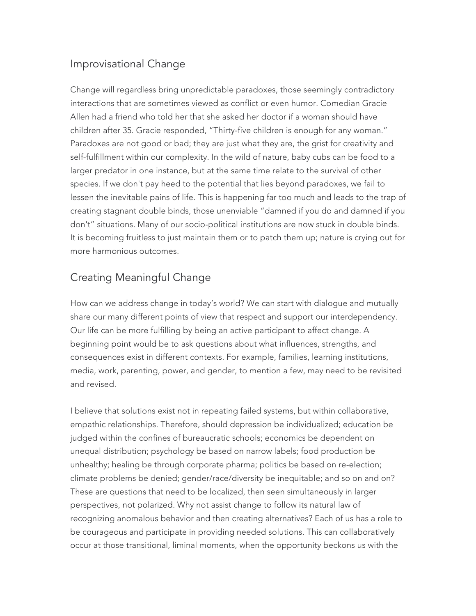## Improvisational Change

Change will regardless bring unpredictable paradoxes, those seemingly contradictory interactions that are sometimes viewed as conflict or even humor. Comedian Gracie Allen had a friend who told her that she asked her doctor if a woman should have children after 35. Gracie responded, "Thirty-five children is enough for any woman." Paradoxes are not good or bad; they are just what they are, the grist for creativity and self-fulfillment within our complexity. In the wild of nature, baby cubs can be food to a larger predator in one instance, but at the same time relate to the survival of other species. If we don't pay heed to the potential that lies beyond paradoxes, we fail to lessen the inevitable pains of life. This is happening far too much and leads to the trap of creating stagnant double binds, those unenviable "damned if you do and damned if you don't" situations. Many of our socio-political institutions are now stuck in double binds. It is becoming fruitless to just maintain them or to patch them up; nature is crying out for more harmonious outcomes.

## Creating Meaningful Change

How can we address change in today's world? We can start with dialogue and mutually share our many different points of view that respect and support our interdependency. Our life can be more fulfilling by being an active participant to affect change. A beginning point would be to ask questions about what influences, strengths, and consequences exist in different contexts. For example, families, learning institutions, media, work, parenting, power, and gender, to mention a few, may need to be revisited and revised.

I believe that solutions exist not in repeating failed systems, but within collaborative, empathic relationships. Therefore, should depression be individualized; education be judged within the confines of bureaucratic schools; economics be dependent on unequal distribution; psychology be based on narrow labels; food production be unhealthy; healing be through corporate pharma; politics be based on re-election; climate problems be denied; gender/race/diversity be inequitable; and so on and on? These are questions that need to be localized, then seen simultaneously in larger perspectives, not polarized. Why not assist change to follow its natural law of recognizing anomalous behavior and then creating alternatives? Each of us has a role to be courageous and participate in providing needed solutions. This can collaboratively occur at those transitional, liminal moments, when the opportunity beckons us with the